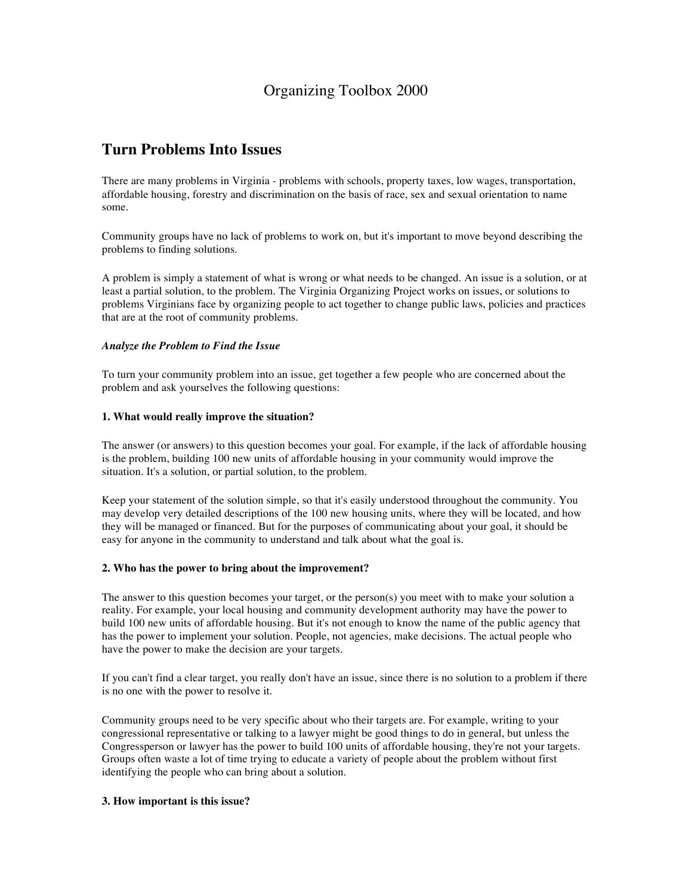# Organizing Toolbox 2000

### **Turn Problems Into Issues**

There are many problems in Virginia - problems with schools, property taxes, low wages, transportation, affordable housing, forestry and discrimination on the basis of race, sex and sexual orientation to name some.

Community groups have no lack of problems to work on, but it's important to move beyond describing the problems to finding solutions.

A problem is simply a statement of what is wrong or what needs to be changed. An issue is a solution, or at least a partial solution, to the problem. The Virginia Organizing Project works on issues, or solutions to problems Virginians face by organizing people to act together to change public laws, policies and practices that are at the root of community problems.

#### *Analyze the Problem to Find the Issue*

To turn your community problem into an issue, get together a few people who are concerned about the problem and ask yourselves the following questions:

#### **1. What would really improve the situation?**

The answer (or answers) to this question becomes your goal. For example, if the lack of affordable housing is the problem, building 100 new units of affordable housing in your community would improve the situation. It's a solution, or partial solution, to the problem.

Keep your statement of the solution simple, so that it's easily understood throughout the community. You may develop very detailed descriptions of the 100 new housing units, where they will be located, and how they will be managed or financed. But for the purposes of communicating about your goal, it should be easy for anyone in the community to understand and talk about what the goal is.

#### **2. Who has the power to bring about the improvement?**

The answer to this question becomes your target, or the person(s) you meet with to make your solution a reality. For example, your local housing and community development authority may have the power to build 100 new units of affordable housing. But it's not enough to know the name of the public agency that has the power to implement your solution. People, not agencies, make decisions. The actual people who have the power to make the decision are your targets.

If you can't find a clear target, you really don't have an issue, since there is no solution to a problem if there is no one with the power to resolve it.

Community groups need to be very specific about who their targets are. For example, writing to your congressional representative or talking to a lawyer might be good things to do in general, but unless the Congressperson or lawyer has the power to build 100 units of affordable housing, they're not your targets. Groups often waste a lot of time trying to educate a variety of people about the problem without first identifying the people who can bring about a solution.

#### **3. How important is this issue?**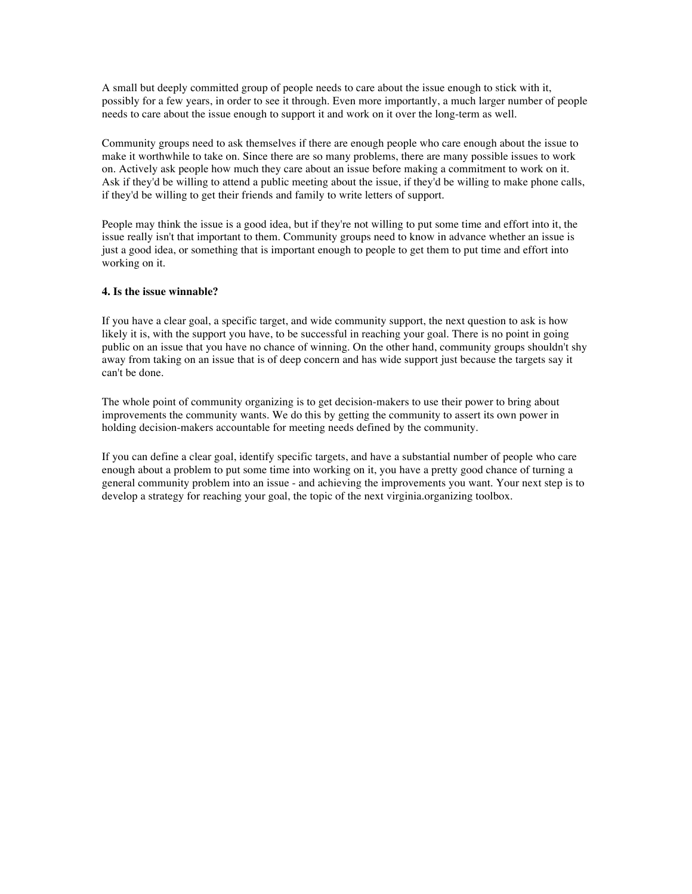A small but deeply committed group of people needs to care about the issue enough to stick with it, possibly for a few years, in order to see it through. Even more importantly, a much larger number of people needs to care about the issue enough to support it and work on it over the long-term as well.

Community groups need to ask themselves if there are enough people who care enough about the issue to make it worthwhile to take on. Since there are so many problems, there are many possible issues to work on. Actively ask people how much they care about an issue before making a commitment to work on it. Ask if they'd be willing to attend a public meeting about the issue, if they'd be willing to make phone calls, if they'd be willing to get their friends and family to write letters of support.

People may think the issue is a good idea, but if they're not willing to put some time and effort into it, the issue really isn't that important to them. Community groups need to know in advance whether an issue is just a good idea, or something that is important enough to people to get them to put time and effort into working on it.

#### **4. Is the issue winnable?**

If you have a clear goal, a specific target, and wide community support, the next question to ask is how likely it is, with the support you have, to be successful in reaching your goal. There is no point in going public on an issue that you have no chance of winning. On the other hand, community groups shouldn't shy away from taking on an issue that is of deep concern and has wide support just because the targets say it can't be done.

The whole point of community organizing is to get decision-makers to use their power to bring about improvements the community wants. We do this by getting the community to assert its own power in holding decision-makers accountable for meeting needs defined by the community.

If you can define a clear goal, identify specific targets, and have a substantial number of people who care enough about a problem to put some time into working on it, you have a pretty good chance of turning a general community problem into an issue - and achieving the improvements you want. Your next step is to develop a strategy for reaching your goal, the topic of the next virginia.organizing toolbox.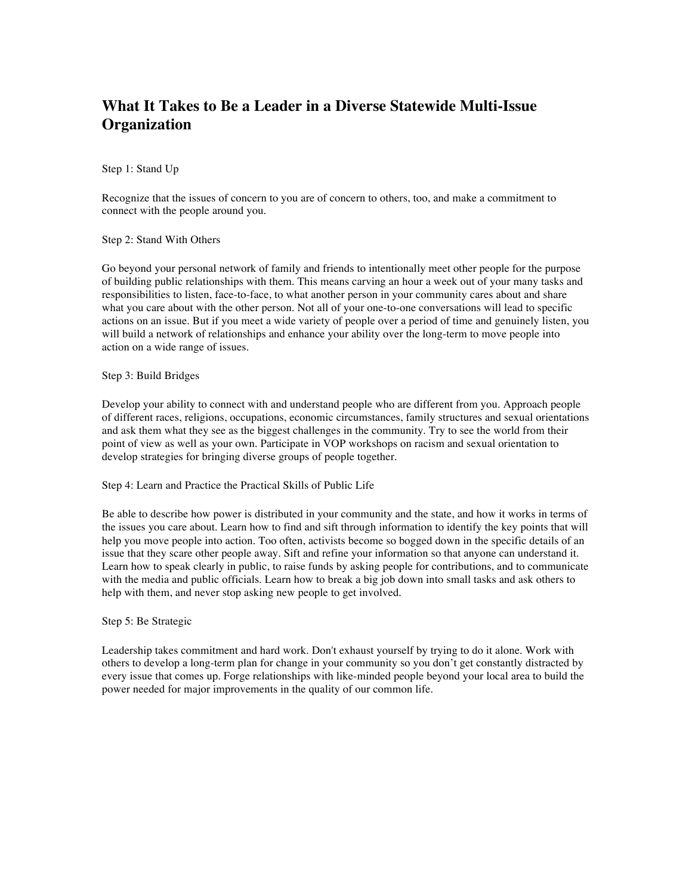# **What It Takes to Be a Leader in a Diverse Statewide Multi-Issue Organization**

Step 1: Stand Up

Recognize that the issues of concern to you are of concern to others, too, and make a commitment to connect with the people around you.

Step 2: Stand With Others

Go beyond your personal network of family and friends to intentionally meet other people for the purpose of building public relationships with them. This means carving an hour a week out of your many tasks and responsibilities to listen, face-to-face, to what another person in your community cares about and share what you care about with the other person. Not all of your one-to-one conversations will lead to specific actions on an issue. But if you meet a wide variety of people over a period of time and genuinely listen, you will build a network of relationships and enhance your ability over the long-term to move people into action on a wide range of issues.

Step 3: Build Bridges

Develop your ability to connect with and understand people who are different from you. Approach people of different races, religions, occupations, economic circumstances, family structures and sexual orientations and ask them what they see as the biggest challenges in the community. Try to see the world from their point of view as well as your own. Participate in VOP workshops on racism and sexual orientation to develop strategies for bringing diverse groups of people together.

Step 4: Learn and Practice the Practical Skills of Public Life

Be able to describe how power is distributed in your community and the state, and how it works in terms of the issues you care about. Learn how to find and sift through information to identify the key points that will help you move people into action. Too often, activists become so bogged down in the specific details of an issue that they scare other people away. Sift and refine your information so that anyone can understand it. Learn how to speak clearly in public, to raise funds by asking people for contributions, and to communicate with the media and public officials. Learn how to break a big job down into small tasks and ask others to help with them, and never stop asking new people to get involved.

#### Step 5: Be Strategic

Leadership takes commitment and hard work. Don't exhaust yourself by trying to do it alone. Work with others to develop a long-term plan for change in your community so you don't get constantly distracted by every issue that comes up. Forge relationships with like-minded people beyond your local area to build the power needed for major improvements in the quality of our common life.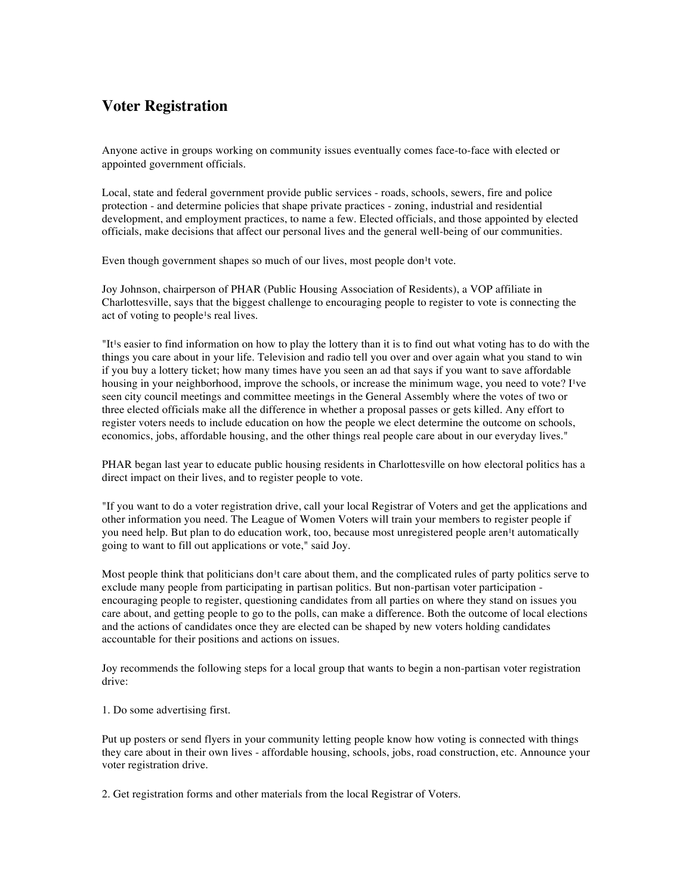## **Voter Registration**

Anyone active in groups working on community issues eventually comes face-to-face with elected or appointed government officials.

Local, state and federal government provide public services - roads, schools, sewers, fire and police protection - and determine policies that shape private practices - zoning, industrial and residential development, and employment practices, to name a few. Elected officials, and those appointed by elected officials, make decisions that affect our personal lives and the general well-being of our communities.

Even though government shapes so much of our lives, most people don<sup>1</sup>t vote.

Joy Johnson, chairperson of PHAR (Public Housing Association of Residents), a VOP affiliate in Charlottesville, says that the biggest challenge to encouraging people to register to vote is connecting the act of voting to people<sup>1</sup>s real lives.

"It<sup>1</sup>s easier to find information on how to play the lottery than it is to find out what voting has to do with the things you care about in your life. Television and radio tell you over and over again what you stand to win if you buy a lottery ticket; how many times have you seen an ad that says if you want to save affordable housing in your neighborhood, improve the schools, or increase the minimum wage, you need to vote? I've seen city council meetings and committee meetings in the General Assembly where the votes of two or three elected officials make all the difference in whether a proposal passes or gets killed. Any effort to register voters needs to include education on how the people we elect determine the outcome on schools, economics, jobs, affordable housing, and the other things real people care about in our everyday lives."

PHAR began last year to educate public housing residents in Charlottesville on how electoral politics has a direct impact on their lives, and to register people to vote.

"If you want to do a voter registration drive, call your local Registrar of Voters and get the applications and other information you need. The League of Women Voters will train your members to register people if you need help. But plan to do education work, too, because most unregistered people aren<sup>1</sup>t automatically going to want to fill out applications or vote," said Joy.

Most people think that politicians don<sup>1</sup>t care about them, and the complicated rules of party politics serve to exclude many people from participating in partisan politics. But non-partisan voter participation encouraging people to register, questioning candidates from all parties on where they stand on issues you care about, and getting people to go to the polls, can make a difference. Both the outcome of local elections and the actions of candidates once they are elected can be shaped by new voters holding candidates accountable for their positions and actions on issues.

Joy recommends the following steps for a local group that wants to begin a non-partisan voter registration drive:

1. Do some advertising first.

Put up posters or send flyers in your community letting people know how voting is connected with things they care about in their own lives - affordable housing, schools, jobs, road construction, etc. Announce your voter registration drive.

2. Get registration forms and other materials from the local Registrar of Voters.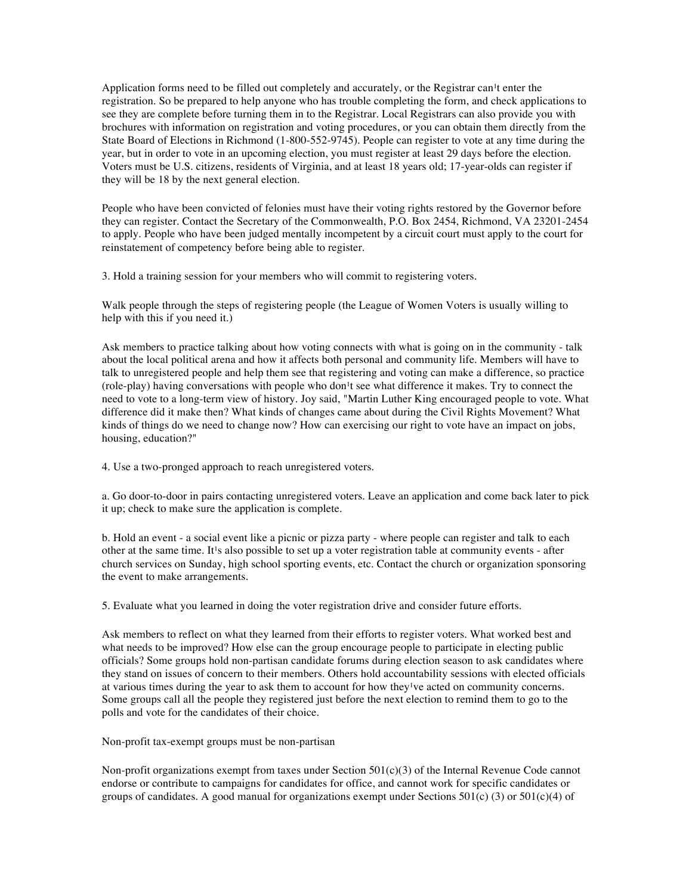Application forms need to be filled out completely and accurately, or the Registrar can<sup>1</sup>t enter the registration. So be prepared to help anyone who has trouble completing the form, and check applications to see they are complete before turning them in to the Registrar. Local Registrars can also provide you with brochures with information on registration and voting procedures, or you can obtain them directly from the State Board of Elections in Richmond (1-800-552-9745). People can register to vote at any time during the year, but in order to vote in an upcoming election, you must register at least 29 days before the election. Voters must be U.S. citizens, residents of Virginia, and at least 18 years old; 17-year-olds can register if they will be 18 by the next general election.

People who have been convicted of felonies must have their voting rights restored by the Governor before they can register. Contact the Secretary of the Commonwealth, P.O. Box 2454, Richmond, VA 23201-2454 to apply. People who have been judged mentally incompetent by a circuit court must apply to the court for reinstatement of competency before being able to register.

3. Hold a training session for your members who will commit to registering voters.

Walk people through the steps of registering people (the League of Women Voters is usually willing to help with this if you need it.)

Ask members to practice talking about how voting connects with what is going on in the community - talk about the local political arena and how it affects both personal and community life. Members will have to talk to unregistered people and help them see that registering and voting can make a difference, so practice (role-play) having conversations with people who don<sup>1</sup>t see what difference it makes. Try to connect the need to vote to a long-term view of history. Joy said, "Martin Luther King encouraged people to vote. What difference did it make then? What kinds of changes came about during the Civil Rights Movement? What kinds of things do we need to change now? How can exercising our right to vote have an impact on jobs, housing, education?"

4. Use a two-pronged approach to reach unregistered voters.

a. Go door-to-door in pairs contacting unregistered voters. Leave an application and come back later to pick it up; check to make sure the application is complete.

b. Hold an event - a social event like a picnic or pizza party - where people can register and talk to each other at the same time. It<sup>1</sup>s also possible to set up a voter registration table at community events - after church services on Sunday, high school sporting events, etc. Contact the church or organization sponsoring the event to make arrangements.

5. Evaluate what you learned in doing the voter registration drive and consider future efforts.

Ask members to reflect on what they learned from their efforts to register voters. What worked best and what needs to be improved? How else can the group encourage people to participate in electing public officials? Some groups hold non-partisan candidate forums during election season to ask candidates where they stand on issues of concern to their members. Others hold accountability sessions with elected officials at various times during the year to ask them to account for how they ve acted on community concerns. Some groups call all the people they registered just before the next election to remind them to go to the polls and vote for the candidates of their choice.

Non-profit tax-exempt groups must be non-partisan

Non-profit organizations exempt from taxes under Section 501(c)(3) of the Internal Revenue Code cannot endorse or contribute to campaigns for candidates for office, and cannot work for specific candidates or groups of candidates. A good manual for organizations exempt under Sections  $501(c)$  (3) or  $501(c)(4)$  of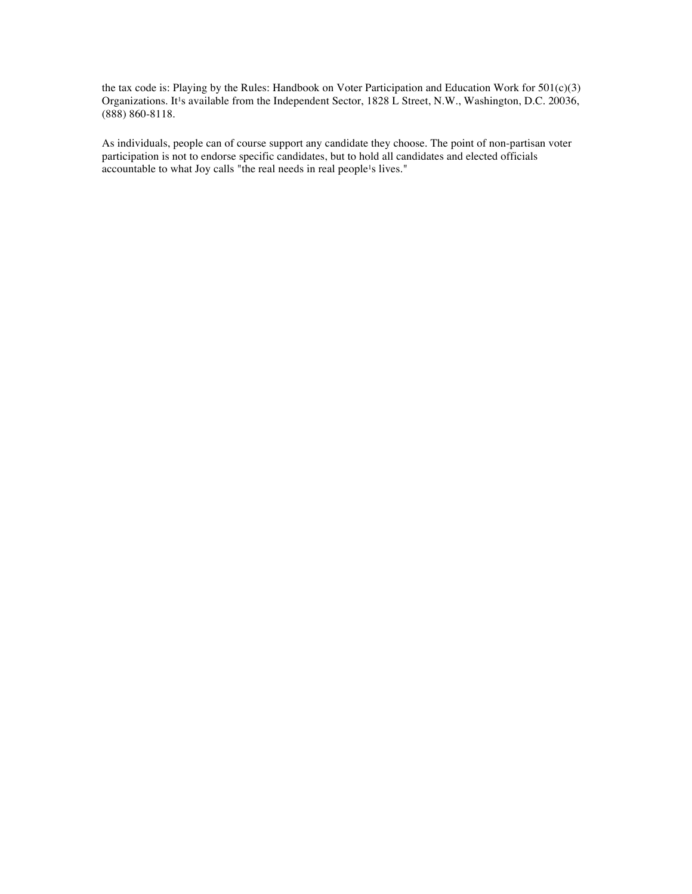the tax code is: Playing by the Rules: Handbook on Voter Participation and Education Work for 501(c)(3) Organizations. It<sup>1</sup>s available from the Independent Sector, 1828 L Street, N.W., Washington, D.C. 20036, (888) 860-8118.

As individuals, people can of course support any candidate they choose. The point of non-partisan voter participation is not to endorse specific candidates, but to hold all candidates and elected officials accountable to what Joy calls "the real needs in real people<sup>1</sup>s lives."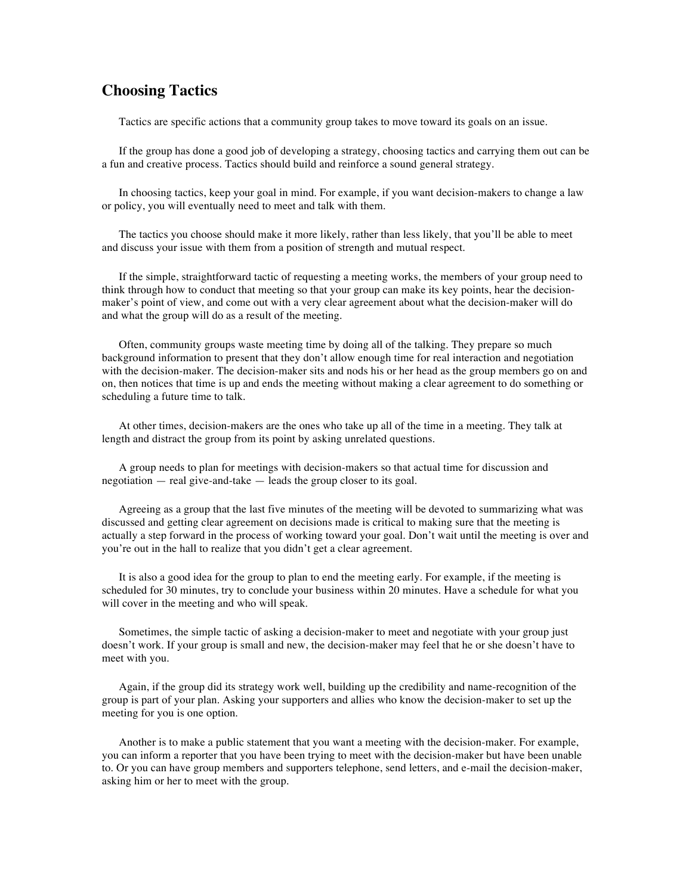### **Choosing Tactics**

Tactics are specific actions that a community group takes to move toward its goals on an issue.

If the group has done a good job of developing a strategy, choosing tactics and carrying them out can be a fun and creative process. Tactics should build and reinforce a sound general strategy.

In choosing tactics, keep your goal in mind. For example, if you want decision-makers to change a law or policy, you will eventually need to meet and talk with them.

The tactics you choose should make it more likely, rather than less likely, that you'll be able to meet and discuss your issue with them from a position of strength and mutual respect.

If the simple, straightforward tactic of requesting a meeting works, the members of your group need to think through how to conduct that meeting so that your group can make its key points, hear the decisionmaker's point of view, and come out with a very clear agreement about what the decision-maker will do and what the group will do as a result of the meeting.

Often, community groups waste meeting time by doing all of the talking. They prepare so much background information to present that they don't allow enough time for real interaction and negotiation with the decision-maker. The decision-maker sits and nods his or her head as the group members go on and on, then notices that time is up and ends the meeting without making a clear agreement to do something or scheduling a future time to talk.

At other times, decision-makers are the ones who take up all of the time in a meeting. They talk at length and distract the group from its point by asking unrelated questions.

A group needs to plan for meetings with decision-makers so that actual time for discussion and negotiation — real give-and-take — leads the group closer to its goal.

Agreeing as a group that the last five minutes of the meeting will be devoted to summarizing what was discussed and getting clear agreement on decisions made is critical to making sure that the meeting is actually a step forward in the process of working toward your goal. Don't wait until the meeting is over and you're out in the hall to realize that you didn't get a clear agreement.

It is also a good idea for the group to plan to end the meeting early. For example, if the meeting is scheduled for 30 minutes, try to conclude your business within 20 minutes. Have a schedule for what you will cover in the meeting and who will speak.

Sometimes, the simple tactic of asking a decision-maker to meet and negotiate with your group just doesn't work. If your group is small and new, the decision-maker may feel that he or she doesn't have to meet with you.

Again, if the group did its strategy work well, building up the credibility and name-recognition of the group is part of your plan. Asking your supporters and allies who know the decision-maker to set up the meeting for you is one option.

Another is to make a public statement that you want a meeting with the decision-maker. For example, you can inform a reporter that you have been trying to meet with the decision-maker but have been unable to. Or you can have group members and supporters telephone, send letters, and e-mail the decision-maker, asking him or her to meet with the group.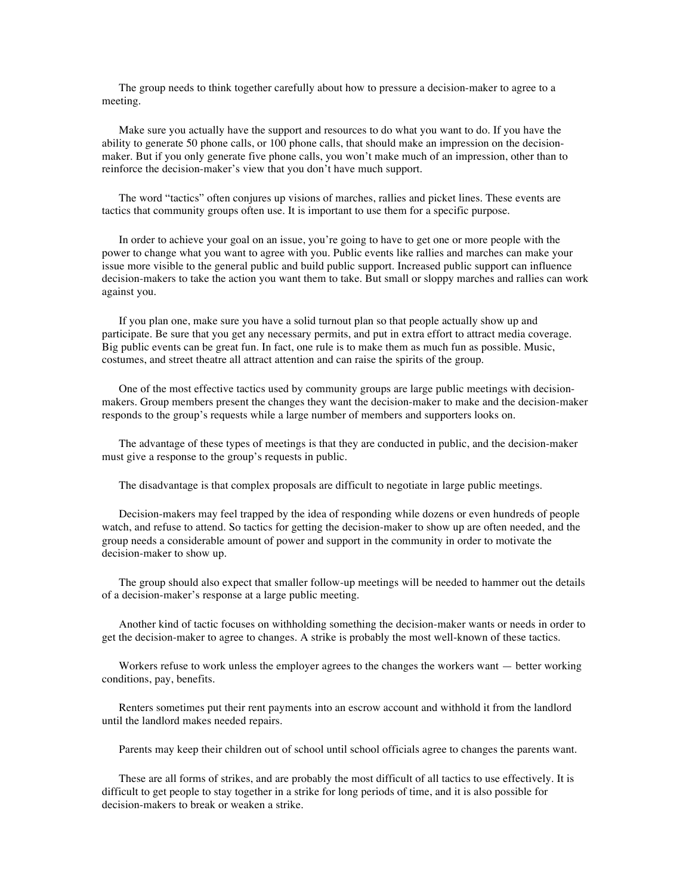The group needs to think together carefully about how to pressure a decision-maker to agree to a meeting.

Make sure you actually have the support and resources to do what you want to do. If you have the ability to generate 50 phone calls, or 100 phone calls, that should make an impression on the decisionmaker. But if you only generate five phone calls, you won't make much of an impression, other than to reinforce the decision-maker's view that you don't have much support.

The word "tactics" often conjures up visions of marches, rallies and picket lines. These events are tactics that community groups often use. It is important to use them for a specific purpose.

In order to achieve your goal on an issue, you're going to have to get one or more people with the power to change what you want to agree with you. Public events like rallies and marches can make your issue more visible to the general public and build public support. Increased public support can influence decision-makers to take the action you want them to take. But small or sloppy marches and rallies can work against you.

If you plan one, make sure you have a solid turnout plan so that people actually show up and participate. Be sure that you get any necessary permits, and put in extra effort to attract media coverage. Big public events can be great fun. In fact, one rule is to make them as much fun as possible. Music, costumes, and street theatre all attract attention and can raise the spirits of the group.

One of the most effective tactics used by community groups are large public meetings with decisionmakers. Group members present the changes they want the decision-maker to make and the decision-maker responds to the group's requests while a large number of members and supporters looks on.

The advantage of these types of meetings is that they are conducted in public, and the decision-maker must give a response to the group's requests in public.

The disadvantage is that complex proposals are difficult to negotiate in large public meetings.

Decision-makers may feel trapped by the idea of responding while dozens or even hundreds of people watch, and refuse to attend. So tactics for getting the decision-maker to show up are often needed, and the group needs a considerable amount of power and support in the community in order to motivate the decision-maker to show up.

The group should also expect that smaller follow-up meetings will be needed to hammer out the details of a decision-maker's response at a large public meeting.

Another kind of tactic focuses on withholding something the decision-maker wants or needs in order to get the decision-maker to agree to changes. A strike is probably the most well-known of these tactics.

Workers refuse to work unless the employer agrees to the changes the workers want — better working conditions, pay, benefits.

Renters sometimes put their rent payments into an escrow account and withhold it from the landlord until the landlord makes needed repairs.

Parents may keep their children out of school until school officials agree to changes the parents want.

These are all forms of strikes, and are probably the most difficult of all tactics to use effectively. It is difficult to get people to stay together in a strike for long periods of time, and it is also possible for decision-makers to break or weaken a strike.